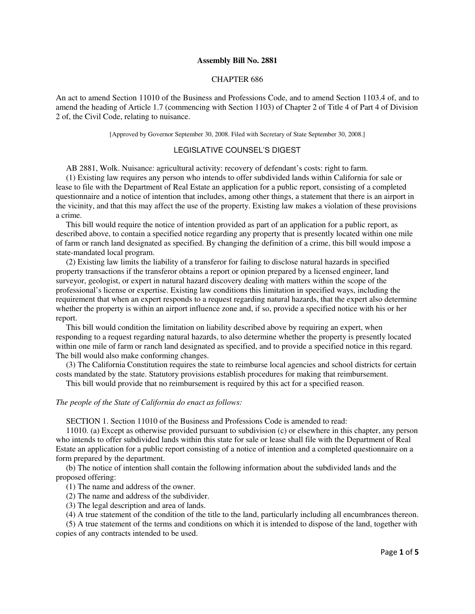#### **Assembly Bill No. 2881**

#### CHAPTER 686

An act to amend Section 11010 of the Business and Professions Code, and to amend Section 1103.4 of, and to amend the heading of Article 1.7 (commencing with Section 1103) of Chapter 2 of Title 4 of Part 4 of Division 2 of, the Civil Code, relating to nuisance.

[Approved by Governor September 30, 2008. Filed with Secretary of State September 30, 2008.]

### LEGISLATIVE COUNSEL'S DIGEST

AB 2881, Wolk. Nuisance: agricultural activity: recovery of defendant's costs: right to farm.

 (1) Existing law requires any person who intends to offer subdivided lands within California for sale or lease to file with the Department of Real Estate an application for a public report, consisting of a completed questionnaire and a notice of intention that includes, among other things, a statement that there is an airport in the vicinity, and that this may affect the use of the property. Existing law makes a violation of these provisions a crime.

 This bill would require the notice of intention provided as part of an application for a public report, as described above, to contain a specified notice regarding any property that is presently located within one mile of farm or ranch land designated as specified. By changing the definition of a crime, this bill would impose a state-mandated local program.

 (2) Existing law limits the liability of a transferor for failing to disclose natural hazards in specified property transactions if the transferor obtains a report or opinion prepared by a licensed engineer, land surveyor, geologist, or expert in natural hazard discovery dealing with matters within the scope of the professional's license or expertise. Existing law conditions this limitation in specified ways, including the requirement that when an expert responds to a request regarding natural hazards, that the expert also determine whether the property is within an airport influence zone and, if so, provide a specified notice with his or her report.

 This bill would condition the limitation on liability described above by requiring an expert, when responding to a request regarding natural hazards, to also determine whether the property is presently located within one mile of farm or ranch land designated as specified, and to provide a specified notice in this regard. The bill would also make conforming changes.

 (3) The California Constitution requires the state to reimburse local agencies and school districts for certain costs mandated by the state. Statutory provisions establish procedures for making that reimbursement.

This bill would provide that no reimbursement is required by this act for a specified reason.

#### *The people of the State of California do enact as follows:*

SECTION 1. Section 11010 of the Business and Professions Code is amended to read:

 11010. (a) Except as otherwise provided pursuant to subdivision (c) or elsewhere in this chapter, any person who intends to offer subdivided lands within this state for sale or lease shall file with the Department of Real Estate an application for a public report consisting of a notice of intention and a completed questionnaire on a form prepared by the department.

 (b) The notice of intention shall contain the following information about the subdivided lands and the proposed offering:

(1) The name and address of the owner.

(2) The name and address of the subdivider.

(3) The legal description and area of lands.

(4) A true statement of the condition of the title to the land, particularly including all encumbrances thereon.

 (5) A true statement of the terms and conditions on which it is intended to dispose of the land, together with copies of any contracts intended to be used.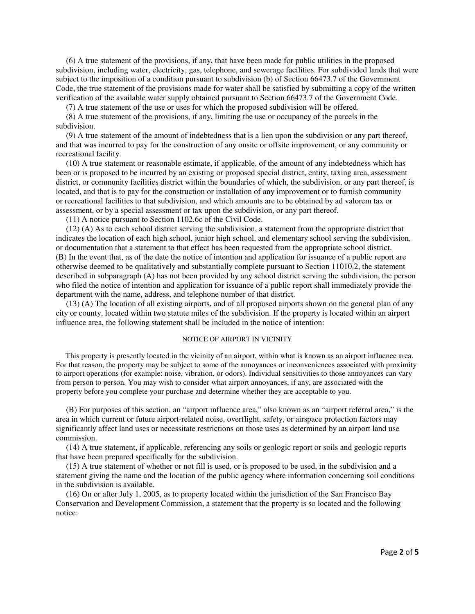(6) A true statement of the provisions, if any, that have been made for public utilities in the proposed subdivision, including water, electricity, gas, telephone, and sewerage facilities. For subdivided lands that were subject to the imposition of a condition pursuant to subdivision (b) of Section 66473.7 of the Government Code, the true statement of the provisions made for water shall be satisfied by submitting a copy of the written verification of the available water supply obtained pursuant to Section 66473.7 of the Government Code.

(7) A true statement of the use or uses for which the proposed subdivision will be offered.

 (8) A true statement of the provisions, if any, limiting the use or occupancy of the parcels in the subdivision.

 (9) A true statement of the amount of indebtedness that is a lien upon the subdivision or any part thereof, and that was incurred to pay for the construction of any onsite or offsite improvement, or any community or recreational facility.

 (10) A true statement or reasonable estimate, if applicable, of the amount of any indebtedness which has been or is proposed to be incurred by an existing or proposed special district, entity, taxing area, assessment district, or community facilities district within the boundaries of which, the subdivision, or any part thereof, is located, and that is to pay for the construction or installation of any improvement or to furnish community or recreational facilities to that subdivision, and which amounts are to be obtained by ad valorem tax or assessment, or by a special assessment or tax upon the subdivision, or any part thereof.

(11) A notice pursuant to Section 1102.6c of the Civil Code.

 (12) (A) As to each school district serving the subdivision, a statement from the appropriate district that indicates the location of each high school, junior high school, and elementary school serving the subdivision, or documentation that a statement to that effect has been requested from the appropriate school district. (B) In the event that, as of the date the notice of intention and application for issuance of a public report are otherwise deemed to be qualitatively and substantially complete pursuant to Section 11010.2, the statement described in subparagraph (A) has not been provided by any school district serving the subdivision, the person who filed the notice of intention and application for issuance of a public report shall immediately provide the department with the name, address, and telephone number of that district.

 (13) (A) The location of all existing airports, and of all proposed airports shown on the general plan of any city or county, located within two statute miles of the subdivision. If the property is located within an airport influence area, the following statement shall be included in the notice of intention:

#### NOTICE OF AIRPORT IN VICINITY

 This property is presently located in the vicinity of an airport, within what is known as an airport influence area. For that reason, the property may be subject to some of the annoyances or inconveniences associated with proximity to airport operations (for example: noise, vibration, or odors). Individual sensitivities to those annoyances can vary from person to person. You may wish to consider what airport annoyances, if any, are associated with the property before you complete your purchase and determine whether they are acceptable to you.

 (B) For purposes of this section, an "airport influence area," also known as an "airport referral area," is the area in which current or future airport-related noise, overflight, safety, or airspace protection factors may significantly affect land uses or necessitate restrictions on those uses as determined by an airport land use commission.

 (14) A true statement, if applicable, referencing any soils or geologic report or soils and geologic reports that have been prepared specifically for the subdivision.

 (15) A true statement of whether or not fill is used, or is proposed to be used, in the subdivision and a statement giving the name and the location of the public agency where information concerning soil conditions in the subdivision is available.

 (16) On or after July 1, 2005, as to property located within the jurisdiction of the San Francisco Bay Conservation and Development Commission, a statement that the property is so located and the following notice: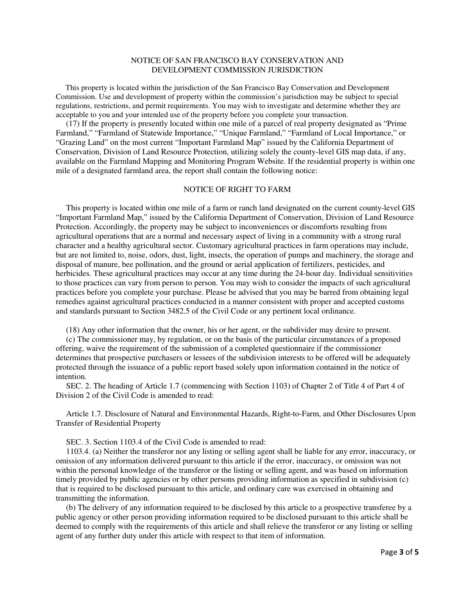### NOTICE OF SAN FRANCISCO BAY CONSERVATION AND DEVELOPMENT COMMISSION JURISDICTION

 This property is located within the jurisdiction of the San Francisco Bay Conservation and Development Commission. Use and development of property within the commission's jurisdiction may be subject to special regulations, restrictions, and permit requirements. You may wish to investigate and determine whether they are acceptable to you and your intended use of the property before you complete your transaction.

 (17) If the property is presently located within one mile of a parcel of real property designated as "Prime Farmland," "Farmland of Statewide Importance," "Unique Farmland," "Farmland of Local Importance," or "Grazing Land" on the most current "Important Farmland Map" issued by the California Department of Conservation, Division of Land Resource Protection, utilizing solely the county-level GIS map data, if any, available on the Farmland Mapping and Monitoring Program Website. If the residential property is within one mile of a designated farmland area, the report shall contain the following notice:

## NOTICE OF RIGHT TO FARM

 This property is located within one mile of a farm or ranch land designated on the current county-level GIS "Important Farmland Map," issued by the California Department of Conservation, Division of Land Resource Protection. Accordingly, the property may be subject to inconveniences or discomforts resulting from agricultural operations that are a normal and necessary aspect of living in a community with a strong rural character and a healthy agricultural sector. Customary agricultural practices in farm operations may include, but are not limited to, noise, odors, dust, light, insects, the operation of pumps and machinery, the storage and disposal of manure, bee pollination, and the ground or aerial application of fertilizers, pesticides, and herbicides. These agricultural practices may occur at any time during the 24-hour day. Individual sensitivities to those practices can vary from person to person. You may wish to consider the impacts of such agricultural practices before you complete your purchase. Please be advised that you may be barred from obtaining legal remedies against agricultural practices conducted in a manner consistent with proper and accepted customs and standards pursuant to Section 3482.5 of the Civil Code or any pertinent local ordinance.

(18) Any other information that the owner, his or her agent, or the subdivider may desire to present.

 (c) The commissioner may, by regulation, or on the basis of the particular circumstances of a proposed offering, waive the requirement of the submission of a completed questionnaire if the commissioner determines that prospective purchasers or lessees of the subdivision interests to be offered will be adequately protected through the issuance of a public report based solely upon information contained in the notice of intention.

 SEC. 2. The heading of Article 1.7 (commencing with Section 1103) of Chapter 2 of Title 4 of Part 4 of Division 2 of the Civil Code is amended to read:

 Article 1.7. Disclosure of Natural and Environmental Hazards, Right-to-Farm, and Other Disclosures Upon Transfer of Residential Property

SEC. 3. Section 1103.4 of the Civil Code is amended to read:

 1103.4. (a) Neither the transferor nor any listing or selling agent shall be liable for any error, inaccuracy, or omission of any information delivered pursuant to this article if the error, inaccuracy, or omission was not within the personal knowledge of the transferor or the listing or selling agent, and was based on information timely provided by public agencies or by other persons providing information as specified in subdivision (c) that is required to be disclosed pursuant to this article, and ordinary care was exercised in obtaining and transmitting the information.

 (b) The delivery of any information required to be disclosed by this article to a prospective transferee by a public agency or other person providing information required to be disclosed pursuant to this article shall be deemed to comply with the requirements of this article and shall relieve the transferor or any listing or selling agent of any further duty under this article with respect to that item of information.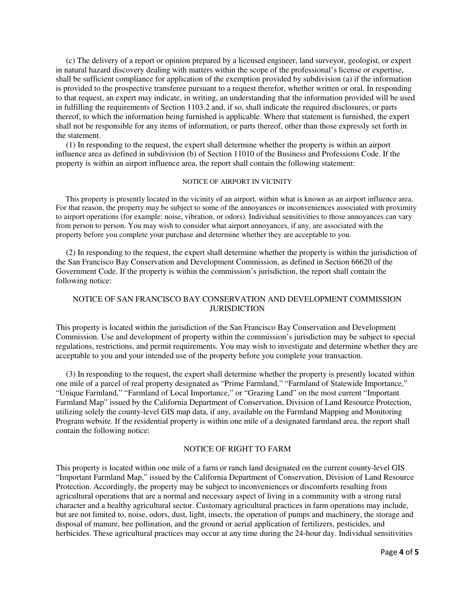(c) The delivery of a report or opinion prepared by a licensed engineer, land surveyor, geologist, or expert in natural hazard discovery dealing with matters within the scope of the professional's license or expertise, shall be sufficient compliance for application of the exemption provided by subdivision (a) if the information is provided to the prospective transferee pursuant to a request therefor, whether written or oral. In responding to that request, an expert may indicate, in writing, an understanding that the information provided will be used in fulfilling the requirements of Section 1103.2 and, if so, shall indicate the required disclosures, or parts thereof, to which the information being furnished is applicable. Where that statement is furnished, the expert shall not be responsible for any items of information, or parts thereof, other than those expressly set forth in the statement.

 (1) In responding to the request, the expert shall determine whether the property is within an airport influence area as defined in subdivision (b) of Section 11010 of the Business and Professions Code. If the property is within an airport influence area, the report shall contain the following statement:

### NOTICE OF AIRPORT IN VICINITY

 This property is presently located in the vicinity of an airport, within what is known as an airport influence area. For that reason, the property may be subject to some of the annoyances or inconveniences associated with proximity to airport operations (for example: noise, vibration, or odors). Individual sensitivities to those annoyances can vary from person to person. You may wish to consider what airport annoyances, if any, are associated with the property before you complete your purchase and determine whether they are acceptable to you.

 (2) In responding to the request, the expert shall determine whether the property is within the jurisdiction of the San Francisco Bay Conservation and Development Commission, as defined in Section 66620 of the Government Code. If the property is within the commission's jurisdiction, the report shall contain the following notice:

# NOTICE OF SAN FRANCISCO BAY CONSERVATION AND DEVELOPMENT COMMISSION **JURISDICTION**

This property is located within the jurisdiction of the San Francisco Bay Conservation and Development Commission. Use and development of property within the commission's jurisdiction may be subject to special regulations, restrictions, and permit requirements. You may wish to investigate and determine whether they are acceptable to you and your intended use of the property before you complete your transaction.

 (3) In responding to the request, the expert shall determine whether the property is presently located within one mile of a parcel of real property designated as "Prime Farmland," "Farmland of Statewide Importance," "Unique Farmland," "Farmland of Local Importance," or "Grazing Land" on the most current "Important Farmland Map" issued by the California Department of Conservation, Division of Land Resource Protection, utilizing solely the county-level GIS map data, if any, available on the Farmland Mapping and Monitoring Program website. If the residential property is within one mile of a designated farmland area, the report shall contain the following notice:

### NOTICE OF RIGHT TO FARM

This property is located within one mile of a farm or ranch land designated on the current county-level GIS "Important Farmland Map," issued by the California Department of Conservation, Division of Land Resource Protection. Accordingly, the property may be subject to inconveniences or discomforts resulting from agricultural operations that are a normal and necessary aspect of living in a community with a strong rural character and a healthy agricultural sector. Customary agricultural practices in farm operations may include, but are not limited to, noise, odors, dust, light, insects, the operation of pumps and machinery, the storage and disposal of manure, bee pollination, and the ground or aerial application of fertilizers, pesticides, and herbicides. These agricultural practices may occur at any time during the 24-hour day. Individual sensitivities